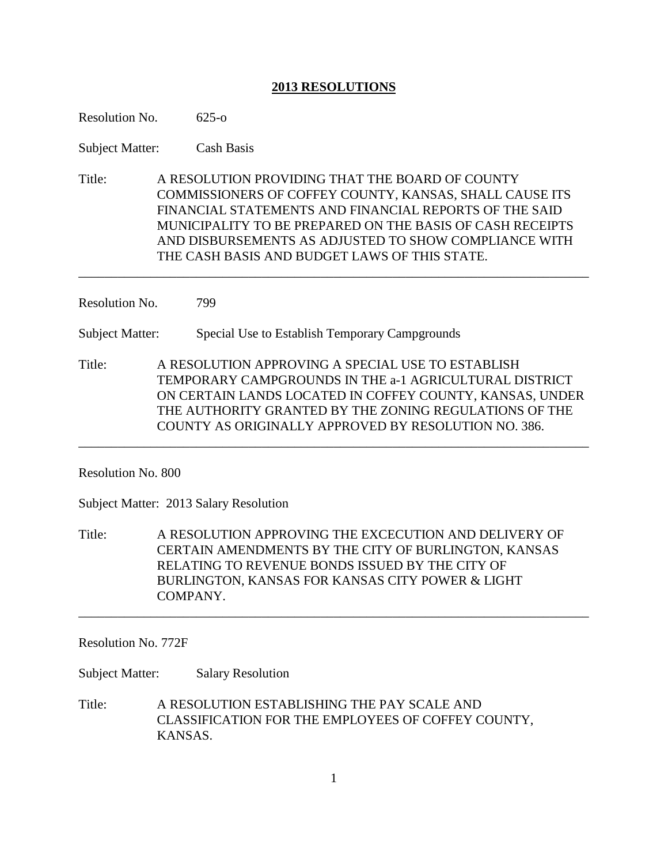# **2013 RESOLUTIONS**

| Resolution No.         | $625 - 0$                                                                                                                                                                                                                                                                                                                                   |  |
|------------------------|---------------------------------------------------------------------------------------------------------------------------------------------------------------------------------------------------------------------------------------------------------------------------------------------------------------------------------------------|--|
| <b>Subject Matter:</b> | <b>Cash Basis</b>                                                                                                                                                                                                                                                                                                                           |  |
| Title:                 | A RESOLUTION PROVIDING THAT THE BOARD OF COUNTY<br>COMMISSIONERS OF COFFEY COUNTY, KANSAS, SHALL CAUSE ITS<br>FINANCIAL STATEMENTS AND FINANCIAL REPORTS OF THE SAID<br>MUNICIPALITY TO BE PREPARED ON THE BASIS OF CASH RECEIPTS<br>AND DISBURSEMENTS AS ADJUSTED TO SHOW COMPLIANCE WITH<br>THE CASH BASIS AND BUDGET LAWS OF THIS STATE. |  |
| Resolution No.         | 799                                                                                                                                                                                                                                                                                                                                         |  |
| <b>Subject Matter:</b> | Special Use to Establish Temporary Campgrounds                                                                                                                                                                                                                                                                                              |  |
| Title:                 | A RESOLUTION APPROVING A SPECIAL USE TO ESTABLISH<br>TEMPORARY CAMPGROUNDS IN THE a-1 AGRICULTURAL DISTRICT<br>ON CERTAIN LANDS LOCATED IN COFFEY COUNTY, KANSAS, UNDER<br>THE AUTHORITY GRANTED BY THE ZONING REGULATIONS OF THE<br>COUNTY AS ORIGINALLY APPROVED BY RESOLUTION NO. 386.                                                   |  |
| Resolution No. 800     |                                                                                                                                                                                                                                                                                                                                             |  |
|                        | Subject Matter: 2013 Salary Resolution                                                                                                                                                                                                                                                                                                      |  |
| Title:                 | A RESOLUTION APPROVING THE EXCECUTION AND DELIVERY OF<br>CERTAIN AMENDMENTS BY THE CITY OF BURLINGTON, KANSAS<br>RELATING TO REVENUE BONDS ISSUED BY THE CITY OF<br>BURLINGTON, KANSAS FOR KANSAS CITY POWER & LIGHT<br>COMPANY.                                                                                                            |  |

Resolution No. 772F

Subject Matter: Salary Resolution

Title: A RESOLUTION ESTABLISHING THE PAY SCALE AND CLASSIFICATION FOR THE EMPLOYEES OF COFFEY COUNTY, KANSAS.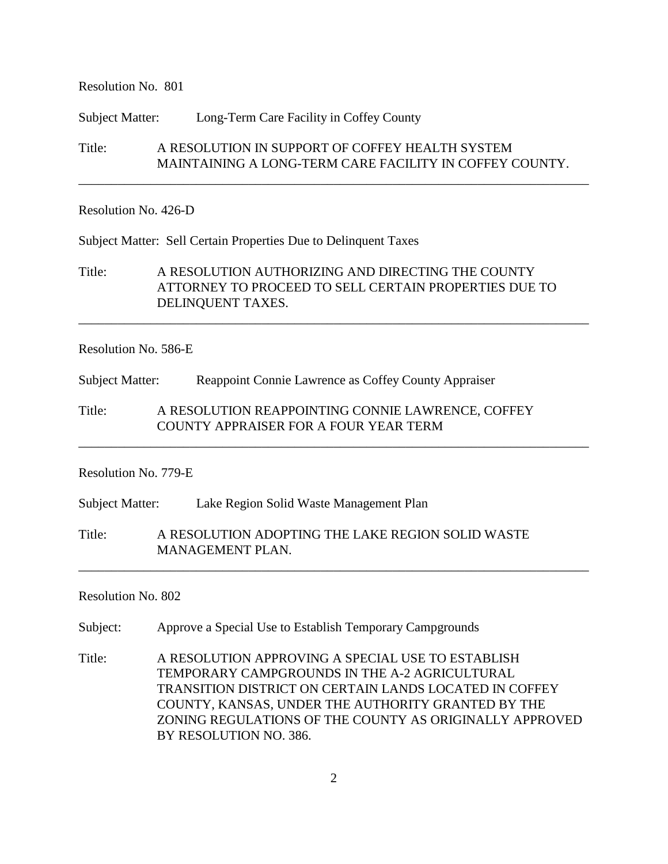Resolution No. 801

Subject Matter: Long-Term Care Facility in Coffey County

Title: A RESOLUTION IN SUPPORT OF COFFEY HEALTH SYSTEM MAINTAINING A LONG-TERM CARE FACILITY IN COFFEY COUNTY.

\_\_\_\_\_\_\_\_\_\_\_\_\_\_\_\_\_\_\_\_\_\_\_\_\_\_\_\_\_\_\_\_\_\_\_\_\_\_\_\_\_\_\_\_\_\_\_\_\_\_\_\_\_\_\_\_\_\_\_\_\_\_\_\_\_\_\_\_\_\_\_\_\_\_\_\_\_\_

#### Resolution No. 426-D

Subject Matter: Sell Certain Properties Due to Delinquent Taxes

Title: A RESOLUTION AUTHORIZING AND DIRECTING THE COUNTY ATTORNEY TO PROCEED TO SELL CERTAIN PROPERTIES DUE TO DELINQUENT TAXES.

\_\_\_\_\_\_\_\_\_\_\_\_\_\_\_\_\_\_\_\_\_\_\_\_\_\_\_\_\_\_\_\_\_\_\_\_\_\_\_\_\_\_\_\_\_\_\_\_\_\_\_\_\_\_\_\_\_\_\_\_\_\_\_\_\_\_\_\_\_\_\_\_\_\_\_\_\_\_

\_\_\_\_\_\_\_\_\_\_\_\_\_\_\_\_\_\_\_\_\_\_\_\_\_\_\_\_\_\_\_\_\_\_\_\_\_\_\_\_\_\_\_\_\_\_\_\_\_\_\_\_\_\_\_\_\_\_\_\_\_\_\_\_\_\_\_\_\_\_\_\_\_\_\_\_\_\_

\_\_\_\_\_\_\_\_\_\_\_\_\_\_\_\_\_\_\_\_\_\_\_\_\_\_\_\_\_\_\_\_\_\_\_\_\_\_\_\_\_\_\_\_\_\_\_\_\_\_\_\_\_\_\_\_\_\_\_\_\_\_\_\_\_\_\_\_\_\_\_\_\_\_\_\_\_\_

#### Resolution No. 586-E

Subject Matter: Reappoint Connie Lawrence as Coffey County Appraiser

Title: A RESOLUTION REAPPOINTING CONNIE LAWRENCE, COFFEY COUNTY APPRAISER FOR A FOUR YEAR TERM

Resolution No. 779-E

Subject Matter: Lake Region Solid Waste Management Plan

Title: A RESOLUTION ADOPTING THE LAKE REGION SOLID WASTE MANAGEMENT PLAN.

Resolution No. 802

Subject: Approve a Special Use to Establish Temporary Campgrounds

Title: A RESOLUTION APPROVING A SPECIAL USE TO ESTABLISH TEMPORARY CAMPGROUNDS IN THE A-2 AGRICULTURAL TRANSITION DISTRICT ON CERTAIN LANDS LOCATED IN COFFEY COUNTY, KANSAS, UNDER THE AUTHORITY GRANTED BY THE ZONING REGULATIONS OF THE COUNTY AS ORIGINALLY APPROVED BY RESOLUTION NO. 386.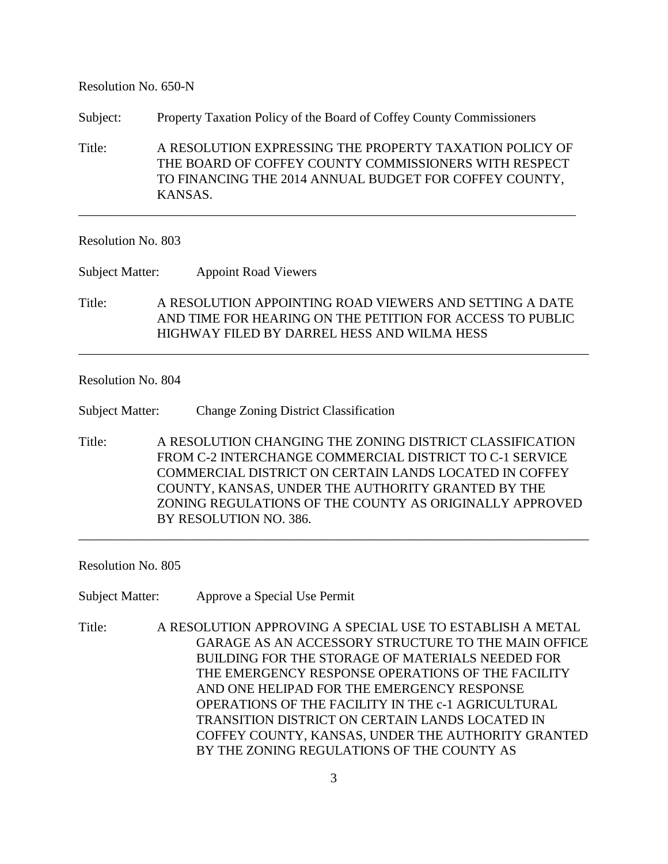#### Resolution No. 650-N

Subject: Property Taxation Policy of the Board of Coffey County Commissioners

Title: A RESOLUTION EXPRESSING THE PROPERTY TAXATION POLICY OF THE BOARD OF COFFEY COUNTY COMMISSIONERS WITH RESPECT TO FINANCING THE 2014 ANNUAL BUDGET FOR COFFEY COUNTY, KANSAS.

\_\_\_\_\_\_\_\_\_\_\_\_\_\_\_\_\_\_\_\_\_\_\_\_\_\_\_\_\_\_\_\_\_\_\_\_\_\_\_\_\_\_\_\_\_\_\_\_\_\_\_\_\_\_\_\_\_\_\_\_\_\_\_\_\_\_\_\_\_\_\_\_\_\_\_\_

## Resolution No. 803

Subject Matter: Appoint Road Viewers

Title: A RESOLUTION APPOINTING ROAD VIEWERS AND SETTING A DATE AND TIME FOR HEARING ON THE PETITION FOR ACCESS TO PUBLIC HIGHWAY FILED BY DARREL HESS AND WILMA HESS

\_\_\_\_\_\_\_\_\_\_\_\_\_\_\_\_\_\_\_\_\_\_\_\_\_\_\_\_\_\_\_\_\_\_\_\_\_\_\_\_\_\_\_\_\_\_\_\_\_\_\_\_\_\_\_\_\_\_\_\_\_\_\_\_\_\_\_\_\_\_\_\_\_\_\_\_\_\_

## Resolution No. 804

Subject Matter: Change Zoning District Classification

Title: A RESOLUTION CHANGING THE ZONING DISTRICT CLASSIFICATION FROM C-2 INTERCHANGE COMMERCIAL DISTRICT TO C-1 SERVICE COMMERCIAL DISTRICT ON CERTAIN LANDS LOCATED IN COFFEY COUNTY, KANSAS, UNDER THE AUTHORITY GRANTED BY THE ZONING REGULATIONS OF THE COUNTY AS ORIGINALLY APPROVED BY RESOLUTION NO. 386.

\_\_\_\_\_\_\_\_\_\_\_\_\_\_\_\_\_\_\_\_\_\_\_\_\_\_\_\_\_\_\_\_\_\_\_\_\_\_\_\_\_\_\_\_\_\_\_\_\_\_\_\_\_\_\_\_\_\_\_\_\_\_\_\_\_\_\_\_\_\_\_\_\_\_\_\_\_\_

Resolution No. 805

Subject Matter: Approve a Special Use Permit

Title: A RESOLUTION APPROVING A SPECIAL USE TO ESTABLISH A METAL GARAGE AS AN ACCESSORY STRUCTURE TO THE MAIN OFFICE BUILDING FOR THE STORAGE OF MATERIALS NEEDED FOR THE EMERGENCY RESPONSE OPERATIONS OF THE FACILITY AND ONE HELIPAD FOR THE EMERGENCY RESPONSE OPERATIONS OF THE FACILITY IN THE c-1 AGRICULTURAL TRANSITION DISTRICT ON CERTAIN LANDS LOCATED IN COFFEY COUNTY, KANSAS, UNDER THE AUTHORITY GRANTED BY THE ZONING REGULATIONS OF THE COUNTY AS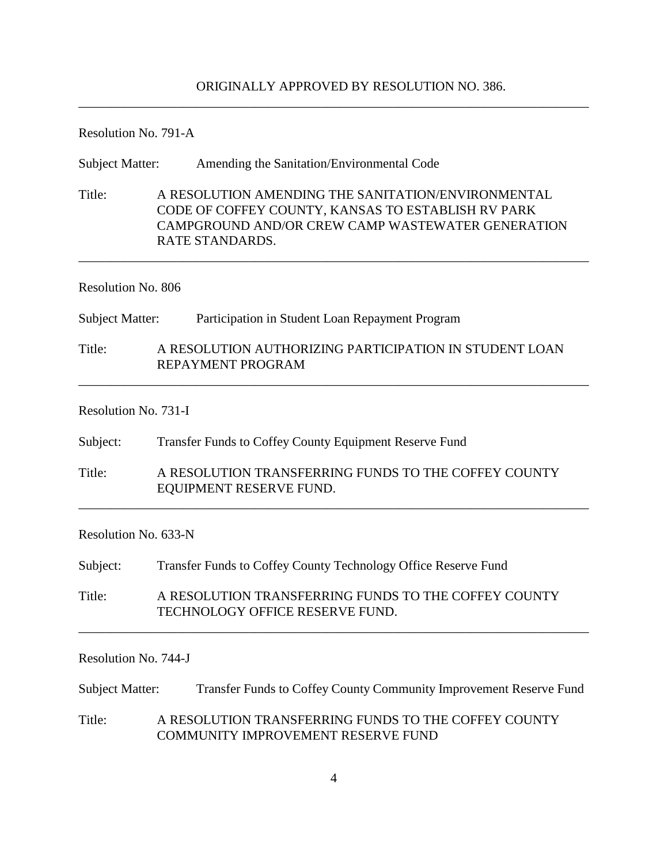### ORIGINALLY APPROVED BY RESOLUTION NO. 386.

\_\_\_\_\_\_\_\_\_\_\_\_\_\_\_\_\_\_\_\_\_\_\_\_\_\_\_\_\_\_\_\_\_\_\_\_\_\_\_\_\_\_\_\_\_\_\_\_\_\_\_\_\_\_\_\_\_\_\_\_\_\_\_\_\_\_\_\_\_\_\_\_\_\_\_\_\_\_

Resolution No. 791-A

| <b>Subject Matter:</b> |  | Amending the Sanitation/Environmental Code                                                                                                                                       |  |  |
|------------------------|--|----------------------------------------------------------------------------------------------------------------------------------------------------------------------------------|--|--|
| Title:                 |  | A RESOLUTION AMENDING THE SANITATION/ENVIRONMENTAL<br>CODE OF COFFEY COUNTY, KANSAS TO ESTABLISH RV PARK<br>CAMPGROUND AND/OR CREW CAMP WASTEWATER GENERATION<br>RATE STANDARDS. |  |  |
| Resolution No. 806     |  |                                                                                                                                                                                  |  |  |
| <b>Subject Matter:</b> |  | Participation in Student Loan Repayment Program                                                                                                                                  |  |  |
| Title:                 |  | A RESOLUTION AUTHORIZING PARTICIPATION IN STUDENT LOAN<br>REPAYMENT PROGRAM                                                                                                      |  |  |
| Resolution No. 731-I   |  |                                                                                                                                                                                  |  |  |

Subject: Transfer Funds to Coffey County Equipment Reserve Fund

Title: A RESOLUTION TRANSFERRING FUNDS TO THE COFFEY COUNTY EQUIPMENT RESERVE FUND.

\_\_\_\_\_\_\_\_\_\_\_\_\_\_\_\_\_\_\_\_\_\_\_\_\_\_\_\_\_\_\_\_\_\_\_\_\_\_\_\_\_\_\_\_\_\_\_\_\_\_\_\_\_\_\_\_\_\_\_\_\_\_\_\_\_\_\_\_\_\_\_\_\_\_\_\_\_\_

Resolution No. 633-N

Subject: Transfer Funds to Coffey County Technology Office Reserve Fund

Title: A RESOLUTION TRANSFERRING FUNDS TO THE COFFEY COUNTY TECHNOLOGY OFFICE RESERVE FUND.

Resolution No. 744-J

Subject Matter: Transfer Funds to Coffey County Community Improvement Reserve Fund Title: A RESOLUTION TRANSFERRING FUNDS TO THE COFFEY COUNTY COMMUNITY IMPROVEMENT RESERVE FUND

\_\_\_\_\_\_\_\_\_\_\_\_\_\_\_\_\_\_\_\_\_\_\_\_\_\_\_\_\_\_\_\_\_\_\_\_\_\_\_\_\_\_\_\_\_\_\_\_\_\_\_\_\_\_\_\_\_\_\_\_\_\_\_\_\_\_\_\_\_\_\_\_\_\_\_\_\_\_